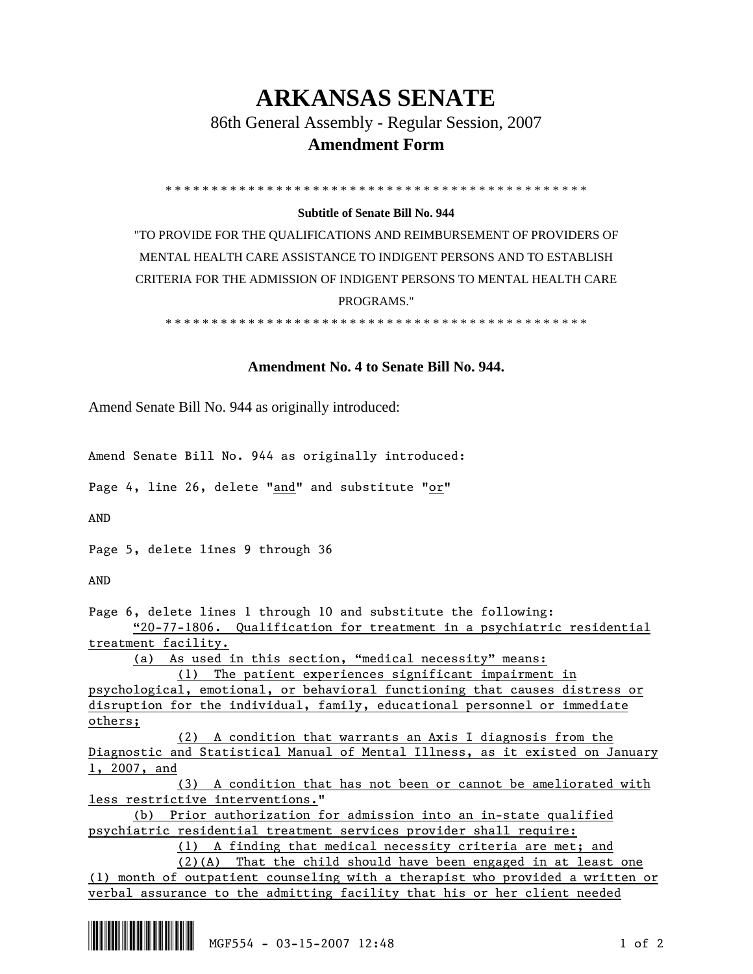## **ARKANSAS SENATE**

86th General Assembly - Regular Session, 2007

## **Amendment Form**

\* \* \* \* \* \* \* \* \* \* \* \* \* \* \* \* \* \* \* \* \* \* \* \* \* \* \* \* \* \* \* \* \* \* \* \* \* \* \* \* \* \* \* \* \* \*

## **Subtitle of Senate Bill No. 944**

"TO PROVIDE FOR THE QUALIFICATIONS AND REIMBURSEMENT OF PROVIDERS OF MENTAL HEALTH CARE ASSISTANCE TO INDIGENT PERSONS AND TO ESTABLISH CRITERIA FOR THE ADMISSION OF INDIGENT PERSONS TO MENTAL HEALTH CARE PROGRAMS."

\* \* \* \* \* \* \* \* \* \* \* \* \* \* \* \* \* \* \* \* \* \* \* \* \* \* \* \* \* \* \* \* \* \* \* \* \* \* \* \* \* \* \* \* \* \*

## **Amendment No. 4 to Senate Bill No. 944.**

Amend Senate Bill No. 944 as originally introduced:

Amend Senate Bill No. 944 as originally introduced:

Page 4, line 26, delete "and" and substitute "or"

AND

Page 5, delete lines 9 through 36

AND

Page 6, delete lines 1 through 10 and substitute the following:

 "20-77-1806. Qualification for treatment in a psychiatric residential treatment facility.

(a) As used in this section, "medical necessity" means:

 (1) The patient experiences significant impairment in psychological, emotional, or behavioral functioning that causes distress or disruption for the individual, family, educational personnel or immediate others;

 (2) A condition that warrants an Axis I diagnosis from the Diagnostic and Statistical Manual of Mental Illness, as it existed on January 1, 2007, and

 (3) A condition that has not been or cannot be ameliorated with less restrictive interventions."

 (b) Prior authorization for admission into an in-state qualified psychiatric residential treatment services provider shall require:

(1) A finding that medical necessity criteria are met; and

 (2)(A) That the child should have been engaged in at least one (1) month of outpatient counseling with a therapist who provided a written or verbal assurance to the admitting facility that his or her client needed